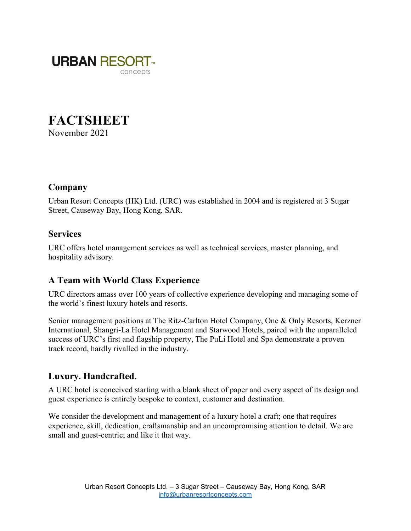

# **FACTSHEET**

November 2021

# Company

Urban Resort Concepts (HK) Ltd. (URC) was established in 2004 and is registered at 3 Sugar Street, Causeway Bay, Hong Kong, SAR.

### **Services**

URC offers hotel management services as well as technical services, master planning, and hospitality advisory.

# A Team with World Class Experience

URC directors amass over 100 years of collective experience developing and managing some of the world's finest luxury hotels and resorts.

Senior management positions at The Ritz-Carlton Hotel Company, One & Only Resorts, Kerzner International, Shangri-La Hotel Management and Starwood Hotels, paired with the unparalleled success of URC's first and flagship property, The PuLi Hotel and Spa demonstrate a proven track record, hardly rivalled in the industry.

### Luxury. Handcrafted.

A URC hotel is conceived starting with a blank sheet of paper and every aspect of its design and guest experience is entirely bespoke to context, customer and destination.

We consider the development and management of a luxury hotel a craft; one that requires experience, skill, dedication, craftsmanship and an uncompromising attention to detail. We are small and guest-centric; and like it that way.